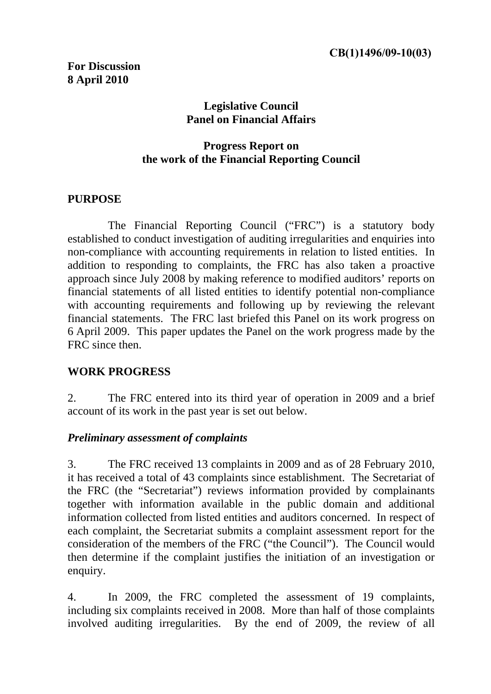### **Legislative Council Panel on Financial Affairs**

#### **Progress Report on the work of the Financial Reporting Council**

#### **PURPOSE**

 The Financial Reporting Council ("FRC") is a statutory body established to conduct investigation of auditing irregularities and enquiries into non-compliance with accounting requirements in relation to listed entities. In addition to responding to complaints, the FRC has also taken a proactive approach since July 2008 by making reference to modified auditors' reports on financial statements of all listed entities to identify potential non-compliance with accounting requirements and following up by reviewing the relevant financial statements. The FRC last briefed this Panel on its work progress on 6 April 2009. This paper updates the Panel on the work progress made by the FRC since then.

### **WORK PROGRESS**

2. The FRC entered into its third year of operation in 2009 and a brief account of its work in the past year is set out below.

### *Preliminary assessment of complaints*

3. The FRC received 13 complaints in 2009 and as of 28 February 2010, it has received a total of 43 complaints since establishment. The Secretariat of the FRC (the "Secretariat") reviews information provided by complainants together with information available in the public domain and additional information collected from listed entities and auditors concerned. In respect of each complaint, the Secretariat submits a complaint assessment report for the consideration of the members of the FRC ("the Council"). The Council would then determine if the complaint justifies the initiation of an investigation or enquiry.

4. In 2009, the FRC completed the assessment of 19 complaints, including six complaints received in 2008. More than half of those complaints involved auditing irregularities. By the end of 2009, the review of all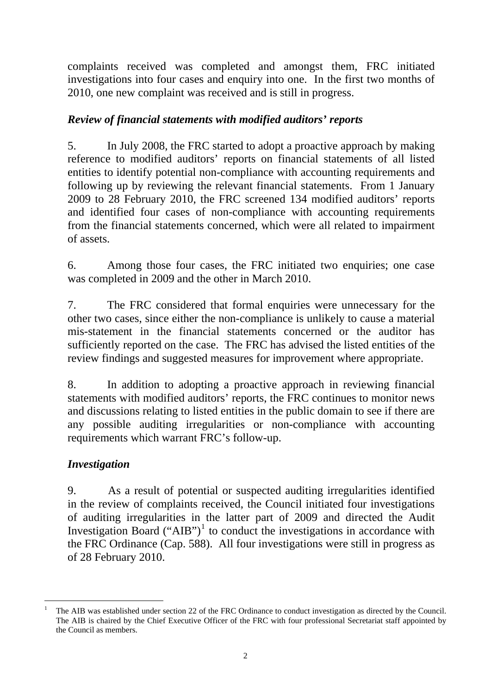complaints received was completed and amongst them, FRC initiated investigations into four cases and enquiry into one. In the first two months of 2010, one new complaint was received and is still in progress.

### *Review of financial statements with modified auditors' reports*

5. In July 2008, the FRC started to adopt a proactive approach by making reference to modified auditors' reports on financial statements of all listed entities to identify potential non-compliance with accounting requirements and following up by reviewing the relevant financial statements. From 1 January 2009 to 28 February 2010, the FRC screened 134 modified auditors' reports and identified four cases of non-compliance with accounting requirements from the financial statements concerned, which were all related to impairment of assets.

6. Among those four cases, the FRC initiated two enquiries; one case was completed in 2009 and the other in March 2010.

7. The FRC considered that formal enquiries were unnecessary for the other two cases, since either the non-compliance is unlikely to cause a material mis-statement in the financial statements concerned or the auditor has sufficiently reported on the case. The FRC has advised the listed entities of the review findings and suggested measures for improvement where appropriate.

8. In addition to adopting a proactive approach in reviewing financial statements with modified auditors' reports, the FRC continues to monitor news and discussions relating to listed entities in the public domain to see if there are any possible auditing irregularities or non-compliance with accounting requirements which warrant FRC's follow-up.

# *Investigation*

9. As a result of potential or suspected auditing irregularities identified in the review of complaints received, the Council initiated four investigations of auditing irregularities in the latter part of 2009 and directed the Audit Investigation Board  $("AIB")^1$  $("AIB")^1$  to conduct the investigations in accordance with the FRC Ordinance (Cap. 588). All four investigations were still in progress as of 28 February 2010.

<span id="page-1-0"></span><sup>-</sup>1 The AIB was established under section 22 of the FRC Ordinance to conduct investigation as directed by the Council. The AIB is chaired by the Chief Executive Officer of the FRC with four professional Secretariat staff appointed by the Council as members.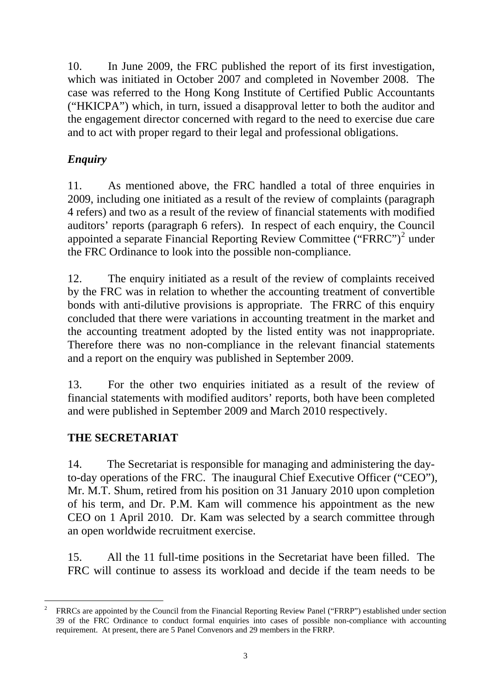10. In June 2009, the FRC published the report of its first investigation, which was initiated in October 2007 and completed in November 2008. The case was referred to the Hong Kong Institute of Certified Public Accountants ("HKICPA") which, in turn, issued a disapproval letter to both the auditor and the engagement director concerned with regard to the need to exercise due care and to act with proper regard to their legal and professional obligations.

# *Enquiry*

11. As mentioned above, the FRC handled a total of three enquiries in 2009, including one initiated as a result of the review of complaints (paragraph 4 refers) and two as a result of the review of financial statements with modified auditors' reports (paragraph 6 refers). In respect of each enquiry, the Council appointed a separate Financial Reporting Review Committee ("FRRC")<sup>[2](#page-2-0)</sup> under the FRC Ordinance to look into the possible non-compliance.

12. The enquiry initiated as a result of the review of complaints received by the FRC was in relation to whether the accounting treatment of convertible bonds with anti-dilutive provisions is appropriate. The FRRC of this enquiry concluded that there were variations in accounting treatment in the market and the accounting treatment adopted by the listed entity was not inappropriate. Therefore there was no non-compliance in the relevant financial statements and a report on the enquiry was published in September 2009.

13. For the other two enquiries initiated as a result of the review of financial statements with modified auditors' reports, both have been completed and were published in September 2009 and March 2010 respectively.

# **THE SECRETARIAT**

14. The Secretariat is responsible for managing and administering the dayto-day operations of the FRC. The inaugural Chief Executive Officer ("CEO"), Mr. M.T. Shum, retired from his position on 31 January 2010 upon completion of his term, and Dr. P.M. Kam will commence his appointment as the new CEO on 1 April 2010. Dr. Kam was selected by a search committee through an open worldwide recruitment exercise.

15. All the 11 full-time positions in the Secretariat have been filled. The FRC will continue to assess its workload and decide if the team needs to be

<span id="page-2-0"></span><sup>-</sup>2 FRRCs are appointed by the Council from the Financial Reporting Review Panel ("FRRP") established under section 39 of the FRC Ordinance to conduct formal enquiries into cases of possible non-compliance with accounting requirement. At present, there are 5 Panel Convenors and 29 members in the FRRP.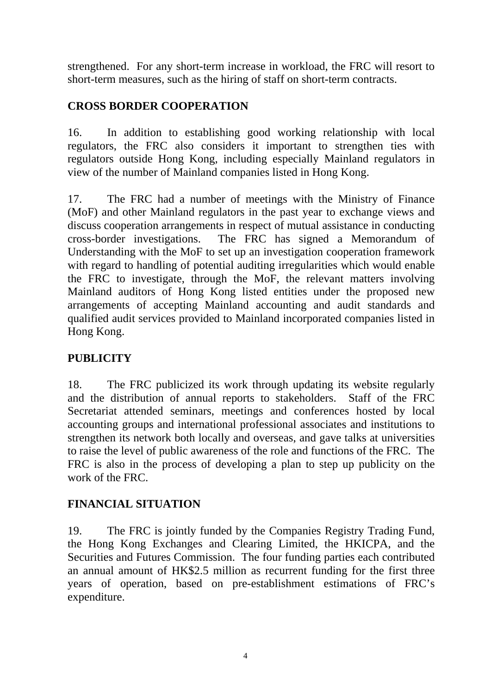strengthened. For any short-term increase in workload, the FRC will resort to short-term measures, such as the hiring of staff on short-term contracts.

## **CROSS BORDER COOPERATION**

16. In addition to establishing good working relationship with local regulators, the FRC also considers it important to strengthen ties with regulators outside Hong Kong, including especially Mainland regulators in view of the number of Mainland companies listed in Hong Kong.

17. The FRC had a number of meetings with the Ministry of Finance (MoF) and other Mainland regulators in the past year to exchange views and discuss cooperation arrangements in respect of mutual assistance in conducting cross-border investigations. The FRC has signed a Memorandum of Understanding with the MoF to set up an investigation cooperation framework with regard to handling of potential auditing irregularities which would enable the FRC to investigate, through the MoF, the relevant matters involving Mainland auditors of Hong Kong listed entities under the proposed new arrangements of accepting Mainland accounting and audit standards and qualified audit services provided to Mainland incorporated companies listed in Hong Kong.

### **PUBLICITY**

18. The FRC publicized its work through updating its website regularly and the distribution of annual reports to stakeholders. Staff of the FRC Secretariat attended seminars, meetings and conferences hosted by local accounting groups and international professional associates and institutions to strengthen its network both locally and overseas, and gave talks at universities to raise the level of public awareness of the role and functions of the FRC. The FRC is also in the process of developing a plan to step up publicity on the work of the FRC.

### **FINANCIAL SITUATION**

19. The FRC is jointly funded by the Companies Registry Trading Fund, the Hong Kong Exchanges and Clearing Limited, the HKICPA, and the Securities and Futures Commission. The four funding parties each contributed an annual amount of HK\$2.5 million as recurrent funding for the first three years of operation, based on pre-establishment estimations of FRC's expenditure.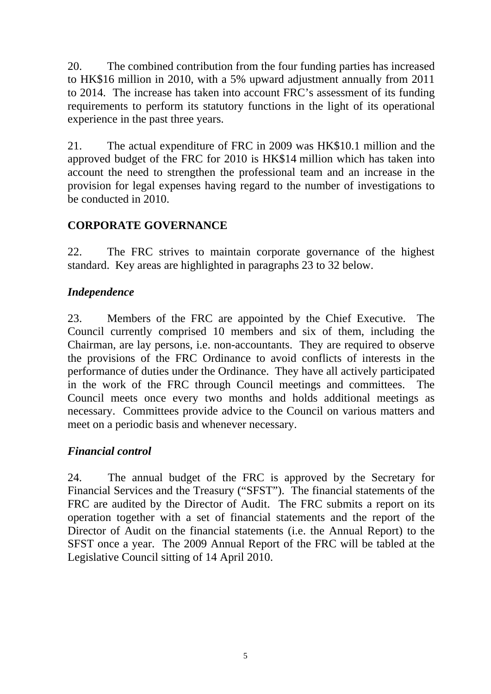20. The combined contribution from the four funding parties has increased to HK\$16 million in 2010, with a 5% upward adjustment annually from 2011 to 2014. The increase has taken into account FRC's assessment of its funding requirements to perform its statutory functions in the light of its operational experience in the past three years.

21. The actual expenditure of FRC in 2009 was HK\$10.1 million and the approved budget of the FRC for 2010 is HK\$14 million which has taken into account the need to strengthen the professional team and an increase in the provision for legal expenses having regard to the number of investigations to be conducted in 2010.

## **CORPORATE GOVERNANCE**

22. The FRC strives to maintain corporate governance of the highest standard. Key areas are highlighted in paragraphs 23 to 32 below.

## *Independence*

23. Members of the FRC are appointed by the Chief Executive. The Council currently comprised 10 members and six of them, including the Chairman, are lay persons, i.e. non-accountants. They are required to observe the provisions of the FRC Ordinance to avoid conflicts of interests in the performance of duties under the Ordinance. They have all actively participated in the work of the FRC through Council meetings and committees. The Council meets once every two months and holds additional meetings as necessary. Committees provide advice to the Council on various matters and meet on a periodic basis and whenever necessary.

### *Financial control*

24. The annual budget of the FRC is approved by the Secretary for Financial Services and the Treasury ("SFST"). The financial statements of the FRC are audited by the Director of Audit. The FRC submits a report on its operation together with a set of financial statements and the report of the Director of Audit on the financial statements (i.e. the Annual Report) to the SFST once a year. The 2009 Annual Report of the FRC will be tabled at the Legislative Council sitting of 14 April 2010.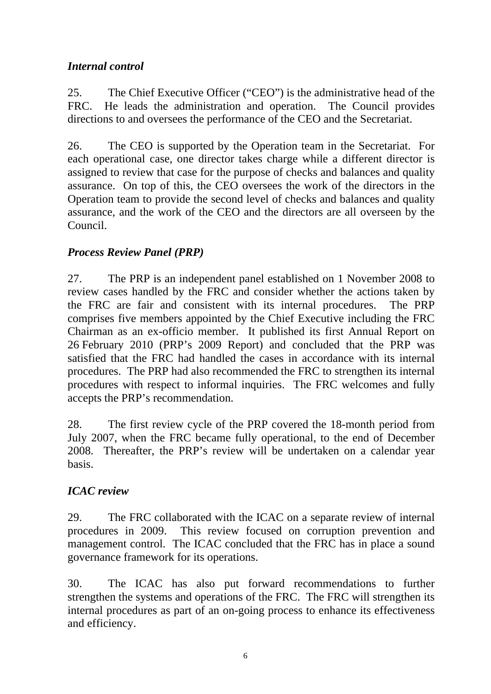### *Internal control*

25. The Chief Executive Officer ("CEO") is the administrative head of the FRC. He leads the administration and operation. The Council provides directions to and oversees the performance of the CEO and the Secretariat.

26. The CEO is supported by the Operation team in the Secretariat. For each operational case, one director takes charge while a different director is assigned to review that case for the purpose of checks and balances and quality assurance. On top of this, the CEO oversees the work of the directors in the Operation team to provide the second level of checks and balances and quality assurance, and the work of the CEO and the directors are all overseen by the Council.

## *Process Review Panel (PRP)*

27. The PRP is an independent panel established on 1 November 2008 to review cases handled by the FRC and consider whether the actions taken by the FRC are fair and consistent with its internal procedures. The PRP comprises five members appointed by the Chief Executive including the FRC Chairman as an ex-officio member. It published its first Annual Report on 26 February 2010 (PRP's 2009 Report) and concluded that the PRP was satisfied that the FRC had handled the cases in accordance with its internal procedures. The PRP had also recommended the FRC to strengthen its internal procedures with respect to informal inquiries. The FRC welcomes and fully accepts the PRP's recommendation.

28. The first review cycle of the PRP covered the 18-month period from July 2007, when the FRC became fully operational, to the end of December 2008. Thereafter, the PRP's review will be undertaken on a calendar year basis.

# *ICAC review*

29. The FRC collaborated with the ICAC on a separate review of internal procedures in 2009. This review focused on corruption prevention and management control. The ICAC concluded that the FRC has in place a sound governance framework for its operations.

30. The ICAC has also put forward recommendations to further strengthen the systems and operations of the FRC. The FRC will strengthen its internal procedures as part of an on-going process to enhance its effectiveness and efficiency.